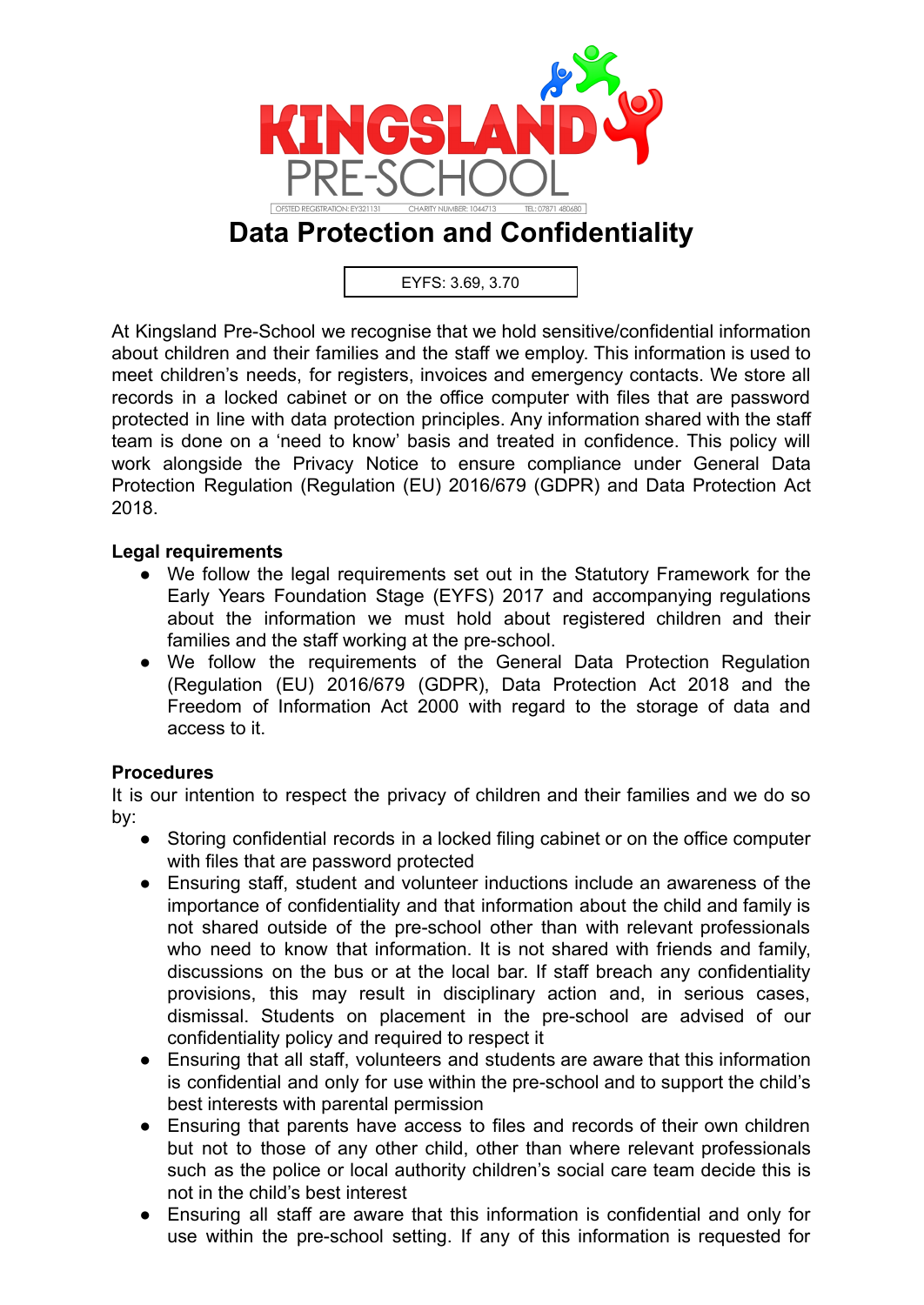

# **Data Protection and Confidentiality**

EYFS: 3.69, 3.70

At Kingsland Pre-School we recognise that we hold sensitive/confidential information about children and their families and the staff we employ. This information is used to meet children's needs, for registers, invoices and emergency contacts. We store all records in a locked cabinet or on the office computer with files that are password protected in line with data protection principles. Any information shared with the staff team is done on a 'need to know' basis and treated in confidence. This policy will work alongside the Privacy Notice to ensure compliance under General Data Protection Regulation (Regulation (EU) 2016/679 (GDPR) and Data Protection Act 2018.

#### **Legal requirements**

- We follow the legal requirements set out in the Statutory Framework for the Early Years Foundation Stage (EYFS) 2017 and accompanying regulations about the information we must hold about registered children and their families and the staff working at the pre-school.
- We follow the requirements of the General Data Protection Regulation (Regulation (EU) 2016/679 (GDPR), Data Protection Act 2018 and the Freedom of Information Act 2000 with regard to the storage of data and access to it.

## **Procedures**

It is our intention to respect the privacy of children and their families and we do so by:

- Storing confidential records in a locked filing cabinet or on the office computer with files that are password protected
- Ensuring staff, student and volunteer inductions include an awareness of the importance of confidentiality and that information about the child and family is not shared outside of the pre-school other than with relevant professionals who need to know that information. It is not shared with friends and family, discussions on the bus or at the local bar. If staff breach any confidentiality provisions, this may result in disciplinary action and, in serious cases, dismissal. Students on placement in the pre-school are advised of our confidentiality policy and required to respect it
- Ensuring that all staff, volunteers and students are aware that this information is confidential and only for use within the pre-school and to support the child's best interests with parental permission
- Ensuring that parents have access to files and records of their own children but not to those of any other child, other than where relevant professionals such as the police or local authority children's social care team decide this is not in the child's best interest
- Ensuring all staff are aware that this information is confidential and only for use within the pre-school setting. If any of this information is requested for